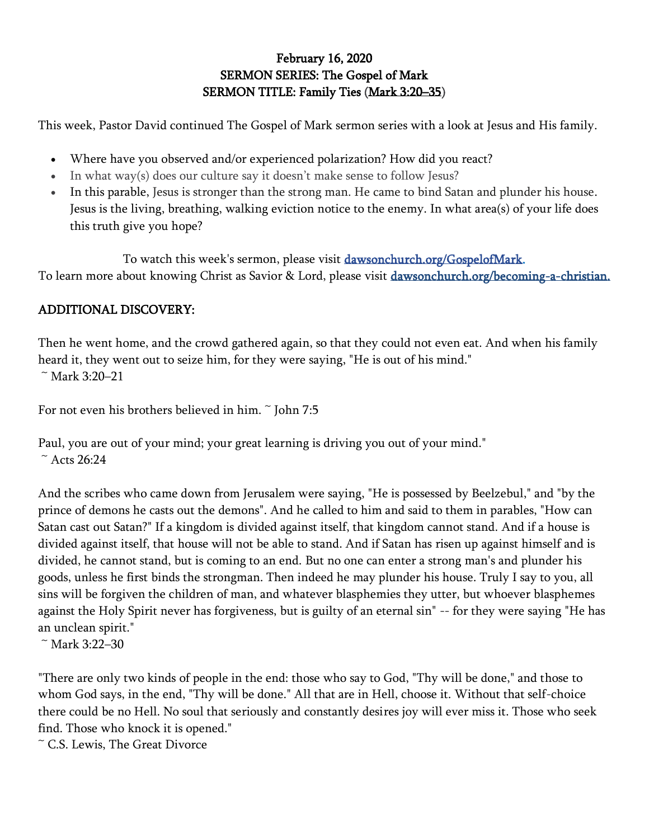## February 16, 2020 SERMON SERIES: The Gospel of Mark SERMON TITLE: Family Ties [\(Mark 3:20](https://www.biblegateway.com/passage/?search=mark+3%3A20-35&version=ESV)–35)

This week, Pastor David continued The Gospel of Mark sermon series with a look at Jesus and His family.

- Where have you observed and/or experienced polarization? How did you react?
- In what way(s) does our culture say it doesn't make sense to follow Jesus?
- In this parable, Jesus is stronger than the strong man. He came to bind Satan and plunder his house. Jesus is the living, breathing, walking eviction notice to the enemy. In what area(s) of your life does this truth give you hope?

To watch this week's sermon, please visit [dawsonchurch.org/GospelofMark.](http://dawsonchurch.org/GospelofMark) To learn more about knowing Christ as Savior & Lord, please visit [dawsonchurch.org/becoming-a-christian.](https://www.dawsonchurch.org/becoming-a-christian) 

## ADDITIONAL DISCOVERY:

Then he went home, and the crowd gathered again, so that they could not even eat. And when his family heard it, they went out to seize him, for they were saying, "He is out of his mind."  $~^{\sim}$  Mark 3:20–21

For not even his brothers believed in him.  $\tilde{ }$  John 7:5

Paul, you are out of your mind; your great learning is driving you out of your mind."  $~^{\sim}$  Acts 26:24

And the scribes who came down from Jerusalem were saying, "He is possessed by Beelzebul," and "by the prince of demons he casts out the demons". And he called to him and said to them in parables, "How can Satan cast out Satan?" If a kingdom is divided against itself, that kingdom cannot stand. And if a house is divided against itself, that house will not be able to stand. And if Satan has risen up against himself and is divided, he cannot stand, but is coming to an end. But no one can enter a strong man's and plunder his goods, unless he first binds the strongman. Then indeed he may plunder his house. Truly I say to you, all sins will be forgiven the children of man, and whatever blasphemies they utter, but whoever blasphemes against the Holy Spirit never has forgiveness, but is guilty of an eternal sin" -- for they were saying "He has an unclean spirit."

 $~^{\sim}$  Mark 3:22–30

"There are only two kinds of people in the end: those who say to God, "Thy will be done," and those to whom God says, in the end, "Thy will be done." All that are in Hell, choose it. Without that self-choice there could be no Hell. No soul that seriously and constantly desires joy will ever miss it. Those who seek find. Those who knock it is opened."

~ C.S. Lewis, The Great Divorce